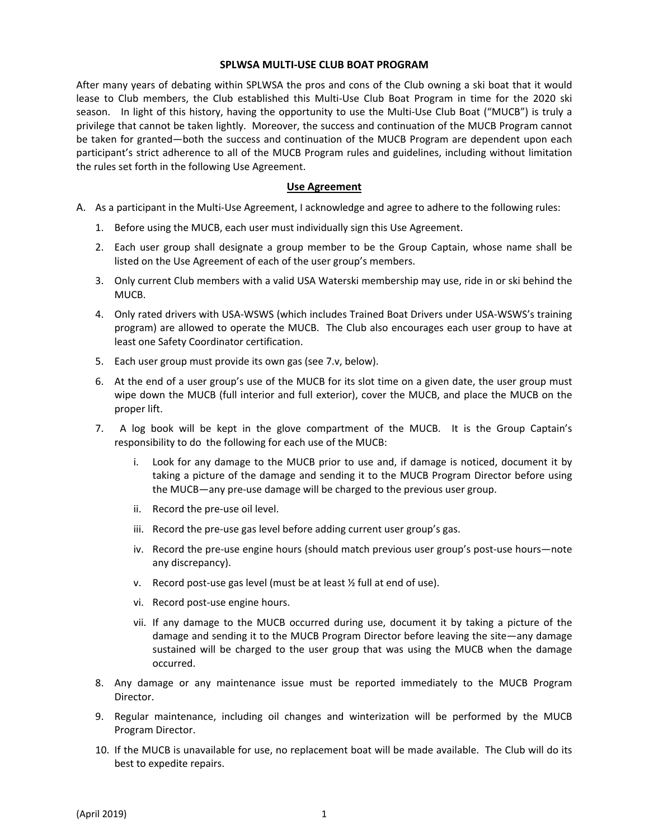## **SPLWSA MULTI-USE CLUB BOAT PROGRAM**

After many years of debating within SPLWSA the pros and cons of the Club owning a ski boat that it would lease to Club members, the Club established this Multi-Use Club Boat Program in time for the 2020 ski season. In light of this history, having the opportunity to use the Multi-Use Club Boat ("MUCB") is truly a privilege that cannot be taken lightly. Moreover, the success and continuation of the MUCB Program cannot be taken for granted—both the success and continuation of the MUCB Program are dependent upon each participant's strict adherence to all of the MUCB Program rules and guidelines, including without limitation the rules set forth in the following Use Agreement.

## **Use Agreement**

- A. As a participant in the Multi-Use Agreement, I acknowledge and agree to adhere to the following rules:
	- 1. Before using the MUCB, each user must individually sign this Use Agreement.
	- 2. Each user group shall designate a group member to be the Group Captain, whose name shall be listed on the Use Agreement of each of the user group's members.
	- 3. Only current Club members with a valid USA Waterski membership may use, ride in or ski behind the **MUCB.**
	- 4. Only rated drivers with USA-WSWS (which includes Trained Boat Drivers under USA-WSWS's training program) are allowed to operate the MUCB. The Club also encourages each user group to have at least one Safety Coordinator certification.
	- 5. Each user group must provide its own gas (see 7.v, below).
	- 6. At the end of a user group's use of the MUCB for its slot time on a given date, the user group must wipe down the MUCB (full interior and full exterior), cover the MUCB, and place the MUCB on the proper lift.
	- 7. A log book will be kept in the glove compartment of the MUCB. It is the Group Captain's responsibility to do the following for each use of the MUCB:
		- i. Look for any damage to the MUCB prior to use and, if damage is noticed, document it by taking a picture of the damage and sending it to the MUCB Program Director before using the MUCB—any pre-use damage will be charged to the previous user group.
		- ii. Record the pre-use oil level.
		- iii. Record the pre-use gas level before adding current user group's gas.
		- iv. Record the pre-use engine hours (should match previous user group's post-use hours—note any discrepancy).
		- v. Record post-use gas level (must be at least ½ full at end of use).
		- vi. Record post-use engine hours.
		- vii. If any damage to the MUCB occurred during use, document it by taking a picture of the damage and sending it to the MUCB Program Director before leaving the site—any damage sustained will be charged to the user group that was using the MUCB when the damage occurred.
	- 8. Any damage or any maintenance issue must be reported immediately to the MUCB Program Director.
	- 9. Regular maintenance, including oil changes and winterization will be performed by the MUCB Program Director.
	- 10. If the MUCB is unavailable for use, no replacement boat will be made available. The Club will do its best to expedite repairs.